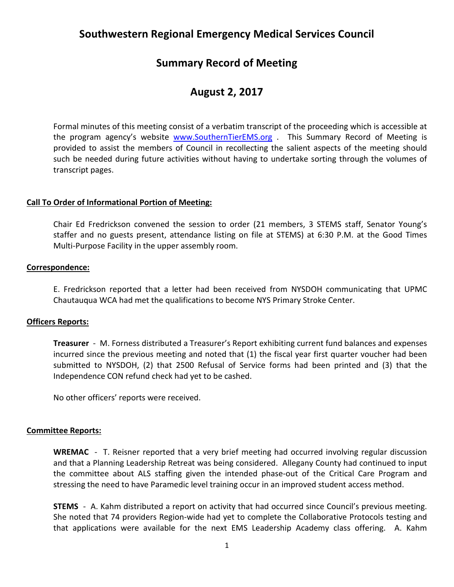# **Southwestern Regional Emergency Medical Services Council**

# **Summary Record of Meeting**

# **August 2, 2017**

Formal minutes of this meeting consist of a verbatim transcript of the proceeding which is accessible at the program agency's website [www.SouthernTierEMS.org](http://www.southerntierems.org/) . This Summary Record of Meeting is provided to assist the members of Council in recollecting the salient aspects of the meeting should such be needed during future activities without having to undertake sorting through the volumes of transcript pages.

## **Call To Order of Informational Portion of Meeting:**

Chair Ed Fredrickson convened the session to order (21 members, 3 STEMS staff, Senator Young's staffer and no guests present, attendance listing on file at STEMS) at 6:30 P.M. at the Good Times Multi-Purpose Facility in the upper assembly room.

### **Correspondence:**

E. Fredrickson reported that a letter had been received from NYSDOH communicating that UPMC Chautauqua WCA had met the qualifications to become NYS Primary Stroke Center.

## **Officers Reports:**

**Treasurer** - M. Forness distributed a Treasurer's Report exhibiting current fund balances and expenses incurred since the previous meeting and noted that (1) the fiscal year first quarter voucher had been submitted to NYSDOH, (2) that 2500 Refusal of Service forms had been printed and (3) that the Independence CON refund check had yet to be cashed.

No other officers' reports were received.

### **Committee Reports:**

**WREMAC** - T. Reisner reported that a very brief meeting had occurred involving regular discussion and that a Planning Leadership Retreat was being considered. Allegany County had continued to input the committee about ALS staffing given the intended phase-out of the Critical Care Program and stressing the need to have Paramedic level training occur in an improved student access method.

**STEMS** - A. Kahm distributed a report on activity that had occurred since Council's previous meeting. She noted that 74 providers Region-wide had yet to complete the Collaborative Protocols testing and that applications were available for the next EMS Leadership Academy class offering. A. Kahm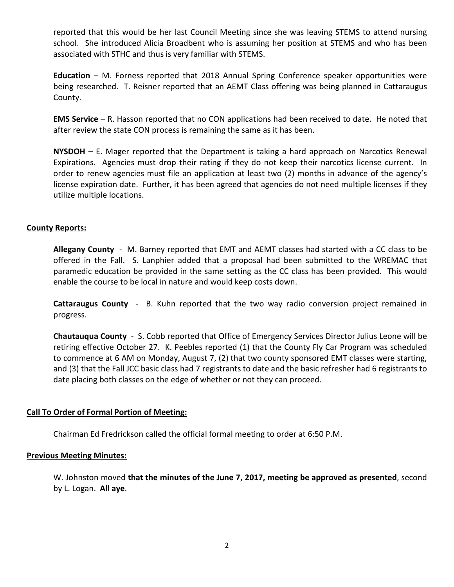reported that this would be her last Council Meeting since she was leaving STEMS to attend nursing school. She introduced Alicia Broadbent who is assuming her position at STEMS and who has been associated with STHC and thus is very familiar with STEMS.

**Education** – M. Forness reported that 2018 Annual Spring Conference speaker opportunities were being researched. T. Reisner reported that an AEMT Class offering was being planned in Cattaraugus County.

**EMS Service** – R. Hasson reported that no CON applications had been received to date. He noted that after review the state CON process is remaining the same as it has been.

**NYSDOH** – E. Mager reported that the Department is taking a hard approach on Narcotics Renewal Expirations. Agencies must drop their rating if they do not keep their narcotics license current. In order to renew agencies must file an application at least two (2) months in advance of the agency's license expiration date. Further, it has been agreed that agencies do not need multiple licenses if they utilize multiple locations.

## **County Reports:**

**Allegany County** - M. Barney reported that EMT and AEMT classes had started with a CC class to be offered in the Fall. S. Lanphier added that a proposal had been submitted to the WREMAC that paramedic education be provided in the same setting as the CC class has been provided. This would enable the course to be local in nature and would keep costs down.

**Cattaraugus County** - B. Kuhn reported that the two way radio conversion project remained in progress.

**Chautauqua County** - S. Cobb reported that Office of Emergency Services Director Julius Leone will be retiring effective October 27. K. Peebles reported (1) that the County Fly Car Program was scheduled to commence at 6 AM on Monday, August 7, (2) that two county sponsored EMT classes were starting, and (3) that the Fall JCC basic class had 7 registrants to date and the basic refresher had 6 registrants to date placing both classes on the edge of whether or not they can proceed.

### **Call To Order of Formal Portion of Meeting:**

Chairman Ed Fredrickson called the official formal meeting to order at 6:50 P.M.

### **Previous Meeting Minutes:**

W. Johnston moved **that the minutes of the June 7, 2017, meeting be approved as presented**, second by L. Logan. **All aye**.